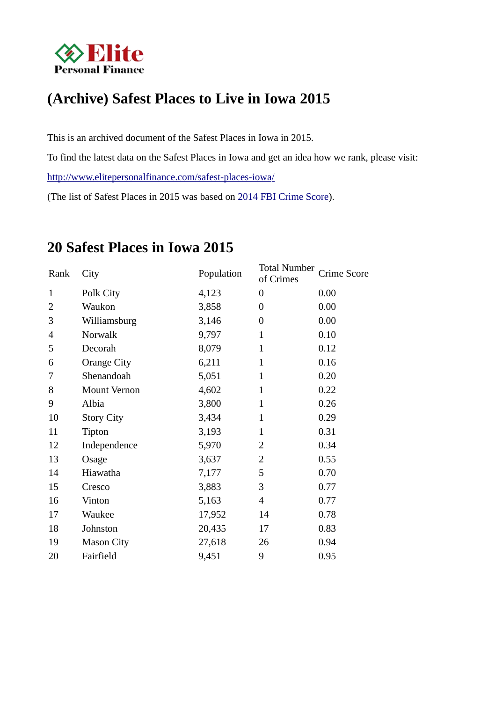

# **(Archive) Safest Places to Live in Iowa 2015**

This is an archived document of the Safest Places in Iowa in 2015.

To find the latest data on the Safest Places in Iowa and get an idea how we rank, please visit:

http://www.elitepersonalfinance.com/safest-places-iowa/

(The list of Safest Places in 2015 was based on 2014 FBI Crime Score).

| Rank           | City                | Population | <b>Total Number</b><br>of Crimes | Crime Score |
|----------------|---------------------|------------|----------------------------------|-------------|
| $\mathbf{1}$   | Polk City           | 4,123      | $\boldsymbol{0}$                 | 0.00        |
| $\overline{2}$ | Waukon              | 3,858      | $\boldsymbol{0}$                 | 0.00        |
| 3              | Williamsburg        | 3,146      | $\boldsymbol{0}$                 | 0.00        |
| 4              | Norwalk             | 9,797      | $\mathbf{1}$                     | 0.10        |
| 5              | Decorah             | 8,079      | $\mathbf{1}$                     | 0.12        |
| 6              | <b>Orange City</b>  | 6,211      | $\mathbf{1}$                     | 0.16        |
| 7              | Shenandoah          | 5,051      | $\mathbf{1}$                     | 0.20        |
| 8              | <b>Mount Vernon</b> | 4,602      | $\mathbf{1}$                     | 0.22        |
| 9              | Albia               | 3,800      | $\mathbf{1}$                     | 0.26        |
| 10             | <b>Story City</b>   | 3,434      | $\mathbf{1}$                     | 0.29        |
| 11             | Tipton              | 3,193      | $\mathbf{1}$                     | 0.31        |
| 12             | Independence        | 5,970      | 2                                | 0.34        |
| 13             | Osage               | 3,637      | $\overline{2}$                   | 0.55        |
| 14             | Hiawatha            | 7,177      | 5                                | 0.70        |
| 15             | Cresco              | 3,883      | 3                                | 0.77        |
| 16             | Vinton              | 5,163      | $\overline{4}$                   | 0.77        |
| 17             | Waukee              | 17,952     | 14                               | 0.78        |
| 18             | Johnston            | 20,435     | 17                               | 0.83        |
| 19             | <b>Mason City</b>   | 27,618     | 26                               | 0.94        |
| 20             | Fairfield           | 9,451      | 9                                | 0.95        |

## **20 Safest Places in Iowa 2015**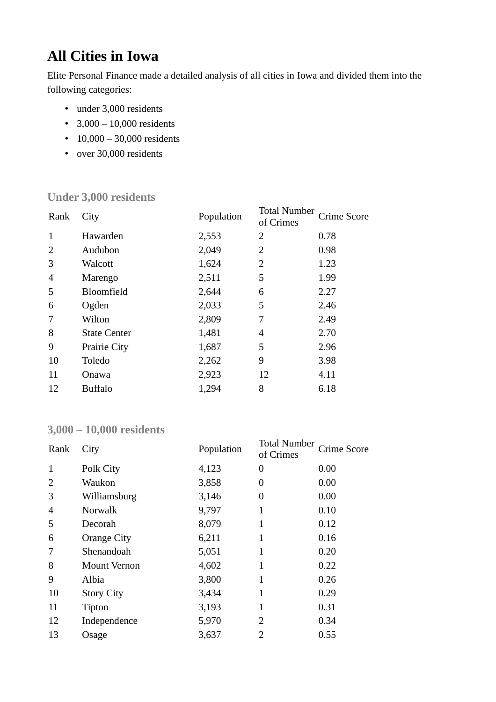# **All Cities in Iowa**

Elite Personal Finance made a detailed analysis of all cities in Iowa and divided them into the following categories:

- under 3,000 residents
- $3,000 10,000$  residents
- 10,000 30,000 residents
- over 30,000 residents

#### **Under 3,000 residents**

| City                | Population | of Crimes | Crime Score         |
|---------------------|------------|-----------|---------------------|
| Hawarden            | 2,553      | 2         | 0.78                |
| Audubon             | 2,049      | 2         | 0.98                |
| <b>Walcott</b>      | 1,624      | 2         | 1.23                |
| Marengo             | 2,511      | 5         | 1.99                |
| <b>Bloomfield</b>   | 2,644      | 6         | 2.27                |
| Ogden               | 2,033      | 5         | 2.46                |
| Wilton              | 2,809      | 7         | 2.49                |
| <b>State Center</b> | 1,481      | 4         | 2.70                |
| <b>Prairie City</b> | 1,687      | 5         | 2.96                |
| Toledo              | 2,262      | 9         | 3.98                |
| Onawa               | 2,923      | 12        | 4.11                |
| <b>Buffalo</b>      | 1,294      | 8         | 6.18                |
|                     |            |           | <b>Total Number</b> |

#### **3,000 – 10,000 residents**

| Rank           | City               | Population | <b>Total Number</b><br>of Crimes | Crime Score |
|----------------|--------------------|------------|----------------------------------|-------------|
| 1              | Polk City          | 4,123      | 0                                | 0.00        |
| 2              | Waukon             | 3,858      | 0                                | 0.00        |
| 3              | Williamsburg       | 3,146      | $\boldsymbol{0}$                 | 0.00        |
| $\overline{4}$ | <b>Norwalk</b>     | 9,797      | 1                                | 0.10        |
| 5              | Decorah            | 8,079      | 1                                | 0.12        |
| 6              | <b>Orange City</b> | 6,211      | 1                                | 0.16        |
| 7              | Shenandoah         | 5,051      | 1                                | 0.20        |
| 8              | Mount Vernon       | 4,602      | $\mathbf{1}$                     | 0.22        |
| 9              | Albia              | 3,800      | $\mathbf{1}$                     | 0.26        |
| 10             | <b>Story City</b>  | 3,434      | 1                                | 0.29        |
| 11             | Tipton             | 3,193      | 1                                | 0.31        |
| 12             | Independence       | 5,970      | 2                                | 0.34        |
| 13             | Osage              | 3,637      | 2                                | 0.55        |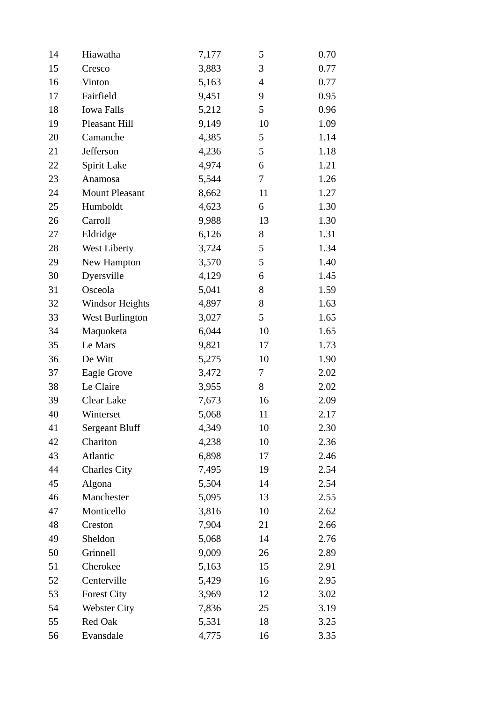| 14 | Hiawatha               | 7,177 | 5                        | 0.70 |
|----|------------------------|-------|--------------------------|------|
| 15 | Cresco                 | 3,883 | 3                        | 0.77 |
| 16 | Vinton                 | 5,163 | $\overline{\mathcal{A}}$ | 0.77 |
| 17 | Fairfield              | 9,451 | 9                        | 0.95 |
| 18 | <b>Iowa Falls</b>      | 5,212 | 5                        | 0.96 |
| 19 | Pleasant Hill          | 9,149 | 10                       | 1.09 |
| 20 | Camanche               | 4,385 | 5                        | 1.14 |
| 21 | Jefferson              | 4,236 | 5                        | 1.18 |
| 22 | Spirit Lake            | 4,974 | 6                        | 1.21 |
| 23 | Anamosa                | 5,544 | 7                        | 1.26 |
| 24 | <b>Mount Pleasant</b>  | 8,662 | 11                       | 1.27 |
| 25 | Humboldt               | 4,623 | 6                        | 1.30 |
| 26 | Carroll                | 9,988 | 13                       | 1.30 |
| 27 | Eldridge               | 6,126 | 8                        | 1.31 |
| 28 | <b>West Liberty</b>    | 3,724 | 5                        | 1.34 |
| 29 | New Hampton            | 3,570 | 5                        | 1.40 |
| 30 | Dyersville             | 4,129 | 6                        | 1.45 |
| 31 | Osceola                | 5,041 | 8                        | 1.59 |
| 32 | <b>Windsor Heights</b> | 4,897 | 8                        | 1.63 |
| 33 | <b>West Burlington</b> | 3,027 | 5                        | 1.65 |
| 34 | Maquoketa              | 6,044 | 10                       | 1.65 |
| 35 | Le Mars                | 9,821 | 17                       | 1.73 |
| 36 | De Witt                | 5,275 | 10                       | 1.90 |
| 37 | <b>Eagle Grove</b>     | 3,472 | 7                        | 2.02 |
| 38 | Le Claire              | 3,955 | 8                        | 2.02 |
| 39 | Clear Lake             | 7,673 | 16                       | 2.09 |
| 40 | Winterset              | 5,068 | 11                       | 2.17 |
| 41 | <b>Sergeant Bluff</b>  | 4,349 | 10                       | 2.30 |
| 42 | Chariton               | 4,238 | 10                       | 2.36 |
| 43 | Atlantic               | 6,898 | 17                       | 2.46 |
| 44 | <b>Charles City</b>    | 7,495 | 19                       | 2.54 |
| 45 | Algona                 | 5,504 | 14                       | 2.54 |
| 46 | Manchester             | 5,095 | 13                       | 2.55 |
| 47 | Monticello             | 3,816 | 10                       | 2.62 |
| 48 | Creston                | 7,904 | 21                       | 2.66 |
| 49 | Sheldon                | 5,068 | 14                       | 2.76 |
| 50 | Grinnell               | 9,009 | 26                       | 2.89 |
| 51 | Cherokee               | 5,163 | 15                       | 2.91 |
| 52 | Centerville            | 5,429 | 16                       | 2.95 |
| 53 | <b>Forest City</b>     | 3,969 | 12                       | 3.02 |
| 54 | <b>Webster City</b>    | 7,836 | 25                       | 3.19 |
| 55 | Red Oak                | 5,531 | 18                       | 3.25 |
| 56 | Evansdale              | 4,775 | 16                       | 3.35 |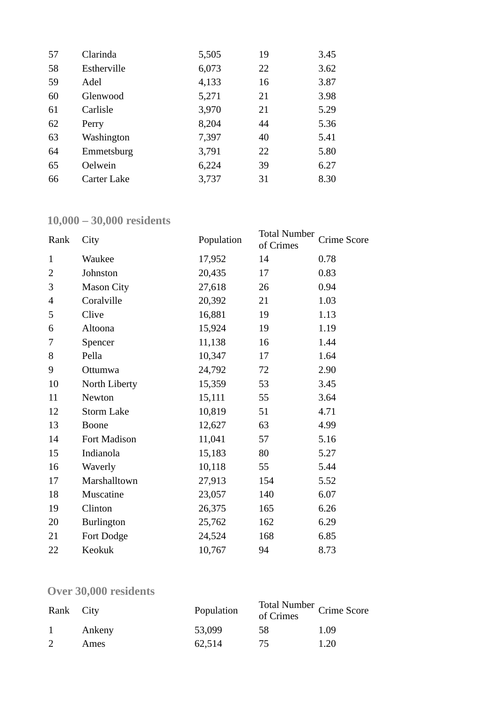| 57 | Clarinda    | 5,505 | 19 | 3.45 |
|----|-------------|-------|----|------|
| 58 | Estherville | 6,073 | 22 | 3.62 |
| 59 | Adel        | 4,133 | 16 | 3.87 |
| 60 | Glenwood    | 5,271 | 21 | 3.98 |
| 61 | Carlisle    | 3,970 | 21 | 5.29 |
| 62 | Perry       | 8,204 | 44 | 5.36 |
| 63 | Washington  | 7,397 | 40 | 5.41 |
| 64 | Emmetsburg  | 3,791 | 22 | 5.80 |
| 65 | Oelwein     | 6,224 | 39 | 6.27 |
| 66 | Carter Lake | 3,737 | 31 | 8.30 |

### **10,000 – 30,000 residents**

| Rank           | City              | Population | <b>Total Number</b><br>of Crimes | Crime Score |
|----------------|-------------------|------------|----------------------------------|-------------|
| $\mathbf{1}$   | Waukee            | 17,952     | 14                               | 0.78        |
| $\overline{2}$ | Johnston          | 20,435     | 17                               | 0.83        |
| 3              | <b>Mason City</b> | 27,618     | 26                               | 0.94        |
| $\overline{4}$ | Coralville        | 20,392     | 21                               | 1.03        |
| 5              | Clive             | 16,881     | 19                               | 1.13        |
| 6              | Altoona           | 15,924     | 19                               | 1.19        |
| 7              | Spencer           | 11,138     | 16                               | 1.44        |
| 8              | Pella             | 10,347     | 17                               | 1.64        |
| 9              | Ottumwa           | 24,792     | 72                               | 2.90        |
| 10             | North Liberty     | 15,359     | 53                               | 3.45        |
| 11             | Newton            | 15,111     | 55                               | 3.64        |
| 12             | <b>Storm Lake</b> | 10,819     | 51                               | 4.71        |
| 13             | <b>Boone</b>      | 12,627     | 63                               | 4.99        |
| 14             | Fort Madison      | 11,041     | 57                               | 5.16        |
| 15             | Indianola         | 15,183     | 80                               | 5.27        |
| 16             | Waverly           | 10,118     | 55                               | 5.44        |
| 17             | Marshalltown      | 27,913     | 154                              | 5.52        |
| 18             | Muscatine         | 23,057     | 140                              | 6.07        |
| 19             | Clinton           | 26,375     | 165                              | 6.26        |
| 20             | Burlington        | 25,762     | 162                              | 6.29        |
| 21             | Fort Dodge        | 24,524     | 168                              | 6.85        |
| 22             | Keokuk            | 10,767     | 94                               | 8.73        |

## **Over 30,000 residents**

| Rank City |        | Population | Total Number<br>of Crimes<br>Crime Score |      |
|-----------|--------|------------|------------------------------------------|------|
|           | Ankeny | 53,099     | 58                                       | 1.09 |
|           | Ames   | 62,514     | 75.                                      | 1.20 |